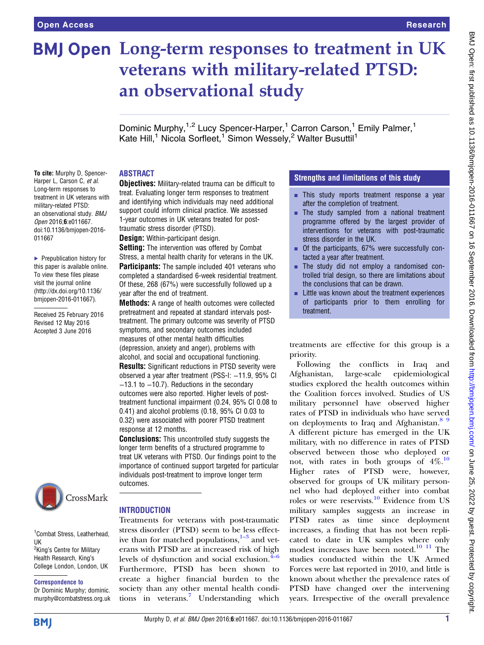# **BMJ Open Long-term responses to treatment in UK** veterans with military-related PTSD: an observational study

Dominic Murphy,<sup>1,2</sup> Lucy Spencer-Harper,<sup>1</sup> Carron Carson,<sup>1</sup> Emily Palmer,<sup>1</sup> Kate Hill,<sup>1</sup> Nicola Sorfleet,<sup>1</sup> Simon Wessely,<sup>2</sup> Walter Busuttil<sup>1</sup>

#### ABSTRACT

To cite: Murphy D, Spencer-Harper L. Carson C. et al. Long-term responses to treatment in UK veterans with military-related PTSD: an observational study. BMJ Open 2016;6:e011667. doi:10.1136/bmjopen-2016- 011667

▶ Prepublication history for this paper is available online. To view these files please visit the journal online [\(http://dx.doi.org/10.1136/](http://dx.doi.org/10.1136/bmjopen-2016-011667) [bmjopen-2016-011667](http://dx.doi.org/10.1136/bmjopen-2016-011667)).

Received 25 February 2016 Revised 12 May 2016 Accepted 3 June 2016



1 Combat Stress, Leatherhead, UK <sup>2</sup>King's Centre for Military Health Research, King's College London, London, UK

Correspondence to

Dr Dominic Murphy; dominic. murphy@combatstress.org.uk

**Objectives:** Military-related trauma can be difficult to treat. Evaluating longer term responses to treatment and identifying which individuals may need additional support could inform clinical practice. We assessed 1-year outcomes in UK veterans treated for posttraumatic stress disorder (PTSD).

Design: Within-participant design.

Setting: The intervention was offered by Combat Stress, a mental health charity for veterans in the UK. **Participants:** The sample included 401 veterans who completed a standardised 6-week residential treatment. Of these, 268 (67%) were successfully followed up a year after the end of treatment.

Methods: A range of health outcomes were collected pretreatment and repeated at standard intervals posttreatment. The primary outcome was severity of PTSD symptoms, and secondary outcomes included measures of other mental health difficulties (depression, anxiety and anger), problems with alcohol, and social and occupational functioning. **Results:** Significant reductions in PTSD severity were observed a year after treatment (PSS-I: −11.9, 95% CI −13.1 to −10.7). Reductions in the secondary outcomes were also reported. Higher levels of posttreatment functional impairment (0.24, 95% CI 0.08 to 0.41) and alcohol problems (0.18, 95% CI 0.03 to 0.32) were associated with poorer PTSD treatment response at 12 months.

**Conclusions:** This uncontrolled study suggests the longer term benefits of a structured programme to treat UK veterans with PTSD. Our findings point to the importance of continued support targeted for particular individuals post-treatment to improve longer term outcomes.

# INTRODUCTION

Treatments for veterans with post-traumatic stress disorder (PTSD) seem to b[e le](#page-6-0)ss effective than for matched populations, $1-3$  and veterans with PTSD are at increased risk of h[igh](#page-6-0) levels of dysfunction and social exclusion. $4-6$ Furthermore, PTSD has been shown to create a higher financial burden to the society than any other mental health conditions in veterans.[7](#page-6-0) Understanding which

# Strengths and limitations of this study

- $\blacksquare$  This study reports treatment response a year after the completion of treatment.
- **EXTER 1** The study sampled from a national treatment programme offered by the largest provider of interventions for veterans with post-traumatic stress disorder in the UK.
- $\blacksquare$  Of the participants, 67% were successfully contacted a year after treatment.
- **Exercise** The study did not employ a randomised controlled trial design, so there are limitations about the conclusions that can be drawn.
- $\blacksquare$  Little was known about the treatment experiences of participants prior to them enrolling for treatment.

treatments are effective for this group is a priority.

Following the conflicts in Iraq and Afghanistan, large-scale epidemiological studies explored the health outcomes within the Coalition forces involved. Studies of US military personnel have observed higher rates of PTSD in individuals who have served on deployments to Iraq and Afghanistan.<sup>[8 9](#page-6-0)</sup> A different picture has emerged in the UK military, with no difference in rates of PTSD observed between those who deployed or not, with rates in both groups of  $4\%$ .<sup>[10](#page-6-0)</sup> Higher rates of PTSD were, however, observed for groups of UK military personnel who had deployed either into combat roles or were reservists.[10](#page-6-0) Evidence from US military samples suggests an increase in PTSD rates as time since deployment increases, a finding that has not been replicated to date in UK samples where only modest increases have been noted.[10 11](#page-6-0) The studies conducted within the UK Armed Forces were last reported in 2010, and little is known about whether the prevalence rates of PTSD have changed over the intervening years. Irrespective of the overall prevalence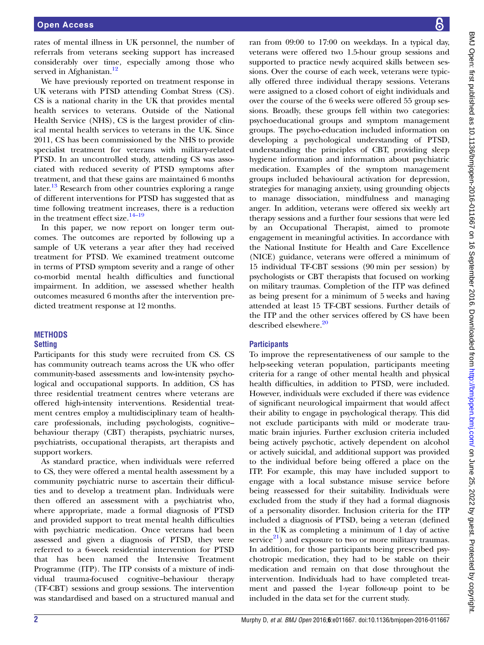rates of mental illness in UK personnel, the number of referrals from veterans seeking support has increased considerably over time, especially among those who served in Afghanistan.<sup>[12](#page-6-0)</sup>

We have previously reported on treatment response in UK veterans with PTSD attending Combat Stress (CS). CS is a national charity in the UK that provides mental health services to veterans. Outside of the National Health Service (NHS), CS is the largest provider of clinical mental health services to veterans in the UK. Since 2011, CS has been commissioned by the NHS to provide specialist treatment for veterans with military-related PTSD. In an uncontrolled study, attending CS was associated with reduced severity of PTSD symptoms after treatment, and that these gains are maintained 6 months later.<sup>[13](#page-6-0)</sup> Research from other countries exploring a range of different interventions for PTSD has suggested that as time following treatment increases, there is a reduction in the treatment effect size. $14-19$  $14-19$ 

In this paper, we now report on longer term outcomes. The outcomes are reported by following up a sample of UK veterans a year after they had received treatment for PTSD. We examined treatment outcome in terms of PTSD symptom severity and a range of other co-morbid mental health difficulties and functional impairment. In addition, we assessed whether health outcomes measured 6 months after the intervention predicted treatment response at 12 months.

# **METHODS**

# **Setting**

Participants for this study were recruited from CS. CS has community outreach teams across the UK who offer community-based assessments and low-intensity psychological and occupational supports. In addition, CS has three residential treatment centres where veterans are offered high-intensity interventions. Residential treatment centres employ a multidisciplinary team of healthcare professionals, including psychologists, cognitive– behaviour therapy (CBT) therapists, psychiatric nurses, psychiatrists, occupational therapists, art therapists and support workers.

As standard practice, when individuals were referred to CS, they were offered a mental health assessment by a community psychiatric nurse to ascertain their difficulties and to develop a treatment plan. Individuals were then offered an assessment with a psychiatrist who, where appropriate, made a formal diagnosis of PTSD and provided support to treat mental health difficulties with psychiatric medication. Once veterans had been assessed and given a diagnosis of PTSD, they were referred to a 6-week residential intervention for PTSD that has been named the Intensive Treatment Programme (ITP). The ITP consists of a mixture of individual trauma-focused cognitive–behaviour therapy (TF-CBT) sessions and group sessions. The intervention was standardised and based on a structured manual and

ran from 09:00 to 17:00 on weekdays. In a typical day, veterans were offered two 1.5-hour group sessions and supported to practice newly acquired skills between sessions. Over the course of each week, veterans were typically offered three individual therapy sessions. Veterans were assigned to a closed cohort of eight individuals and over the course of the 6 weeks were offered 55 group sessions. Broadly, these groups fell within two categories: psychoeducational groups and symptom management groups. The psycho-education included information on developing a psychological understanding of PTSD, understanding the principles of CBT, providing sleep hygiene information and information about psychiatric medication. Examples of the symptom management groups included behavioural activation for depression, strategies for managing anxiety, using grounding objects to manage dissociation, mindfulness and managing anger. In addition, veterans were offered six weekly art therapy sessions and a further four sessions that were led by an Occupational Therapist, aimed to promote engagement in meaningful activities. In accordance with the National Institute for Health and Care Excellence (NICE) guidance, veterans were offered a minimum of 15 individual TF-CBT sessions (90 min per session) by psychologists or CBT therapists that focused on working on military traumas. Completion of the ITP was defined as being present for a minimum of 5 weeks and having attended at least 15 TF-CBT sessions. Further details of the ITP and the other services offered by CS have been described elsewhere.<sup>20</sup>

# **Participants**

To improve the representativeness of our sample to the help-seeking veteran population, participants meeting criteria for a range of other mental health and physical health difficulties, in addition to PTSD, were included. However, individuals were excluded if there was evidence of significant neurological impairment that would affect their ability to engage in psychological therapy. This did not exclude participants with mild or moderate traumatic brain injuries. Further exclusion criteria included being actively psychotic, actively dependent on alcohol or actively suicidal, and additional support was provided to the individual before being offered a place on the ITP. For example, this may have included support to engage with a local substance misuse service before being reassessed for their suitability. Individuals were excluded from the study if they had a formal diagnosis of a personality disorder. Inclusion criteria for the ITP included a diagnosis of PTSD, being a veteran (defined in the UK as completing a minimum of 1 day of active service $^{21}$ ) and exposure to two or more military traumas. In addition, for those participants being prescribed psychotropic medication, they had to be stable on their medication and remain on that dose throughout the intervention. Individuals had to have completed treatment and passed the 1-year follow-up point to be included in the data set for the current study.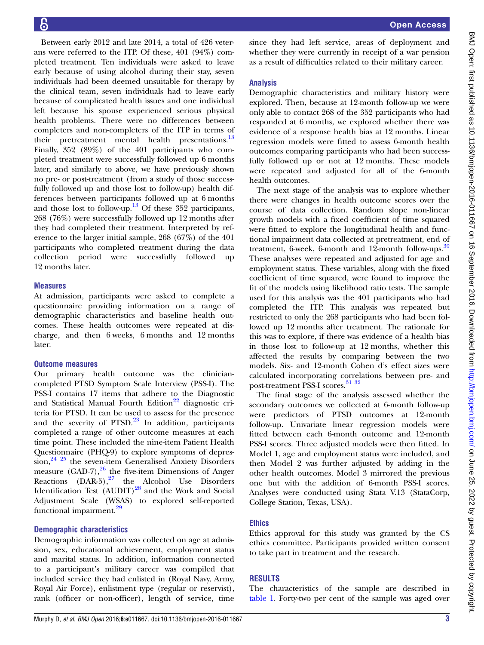Between early 2012 and late 2014, a total of 426 veterans were referred to the ITP. Of these, 401 (94%) completed treatment. Ten individuals were asked to leave early because of using alcohol during their stay, seven individuals had been deemed unsuitable for therapy by the clinical team, seven individuals had to leave early because of complicated health issues and one individual left because his spouse experienced serious physical health problems. There were no differences between completers and non-completers of the ITP in terms of their pretreatment mental health presentations.<sup>[13](#page-6-0)</sup> Finally, 352 (89%) of the 401 participants who completed treatment were successfully followed up 6 months later, and similarly to above, we have previously shown no pre- or post-treatment (from a study of those successfully followed up and those lost to follow-up) health differences between participants followed up at 6 months and those lost to follow-up.<sup>[13](#page-6-0)</sup> Of these  $352$  participants, 268 (76%) were successfully followed up 12 months after they had completed their treatment. Interpreted by reference to the larger initial sample, 268 (67%) of the 401 participants who completed treatment during the data collection period were successfully followed up At admission, participants were asked to complete a Analysis

questionnaire providing information on a range of demographic characteristics and baseline health outcomes. These health outcomes were repeated at discharge, and then 6 weeks, 6 months and 12 months later.

# Outcome measures

12 months later.

Measures

Our primary health outcome was the cliniciancompleted PTSD Symptom Scale Interview (PSS-I). The PSS-I contains 17 items that adhere to the Diagnostic and Statistical Manual Fourth Edition<sup>[22](#page-7-0)</sup> diagnostic criteria for PTSD. It can be used to assess for the presence and the severity of  $PTSD.<sup>23</sup>$  $PTSD.<sup>23</sup>$  $PTSD.<sup>23</sup>$  In addition, participants completed a range of other outcome measures at each time point. These included the nine-item Patient Health Questionnaire (PHQ-9) to explore symptoms of depression,<sup>24 25</sup> the seven-item Generalised Anxiety Disorders measure  $(GAD-7)$ , <sup>[26](#page-7-0)</sup> the five-item Dimensions of Anger Reactions  $(DAR-5),^{27}$  the Alcohol Use Disorders Identification Test  $(AUDIT)^{28}$  $(AUDIT)^{28}$  $(AUDIT)^{28}$  and the Work and Social Adjustment Scale (WSAS) to explored self-reported functional impairment.<sup>[29](#page-7-0)</sup>

# Demographic characteristics

Demographic information was collected on age at admission, sex, educational achievement, employment status and marital status. In addition, information connected to a participant's military career was compiled that included service they had enlisted in (Royal Navy, Army, Royal Air Force), enlistment type (regular or reservist), rank (officer or non-officer), length of service, time

since they had left service, areas of deployment and whether they were currently in receipt of a war pension as a result of difficulties related to their military career.

Demographic characteristics and military history were explored. Then, because at 12-month follow-up we were only able to contact 268 of the 352 participants who had responded at 6 months, we explored whether there was evidence of a response health bias at 12 months. Linear regression models were fitted to assess 6-month health outcomes comparing participants who had been successfully followed up or not at 12 months. These models were repeated and adjusted for all of the 6-month health outcomes.

The next stage of the analysis was to explore whether there were changes in health outcome scores over the course of data collection. Random slope non-linear growth models with a fixed coefficient of time squared were fitted to explore the longitudinal health and functional impairment data collected at pretreatment, end of treatment, 6-week, 6-month and 12-month follow-ups.<sup>[30](#page-7-0)</sup> These analyses were repeated and adjusted for age and employment status. These variables, along with the fixed coefficient of time squared, were found to improve the fit of the models using likelihood ratio tests. The sample used for this analysis was the 401 participants who had completed the ITP. This analysis was repeated but restricted to only the 268 participants who had been followed up 12 months after treatment. The rationale for this was to explore, if there was evidence of a health bias in those lost to follow-up at 12 months, whether this affected the results by comparing between the two models. Six- and 12-month Cohen d's effect sizes were calculated incorporating correlations between pre- and post-treatment PSS-I scores.<sup>31</sup> <sup>32</sup>

The final stage of the analysis assessed whether the secondary outcomes we collected at 6-month follow-up were predictors of PTSD outcomes at 12-month follow-up. Univariate linear regression models were fitted between each 6-month outcome and 12-month PSS-I scores. Three adjusted models were then fitted. In Model 1, age and employment status were included, and then Model 2 was further adjusted by adding in the other health outcomes. Model 3 mirrored the previous one but with the addition of 6-month PSS-I scores. Analyses were conducted using Stata V.13 (StataCorp, College Station, Texas, USA).

# **Ethics**

Ethics approval for this study was granted by the CS ethics committee. Participants provided written consent to take part in treatment and the research.

# RESULTS

The characteristics of the sample are described in [table 1](#page-3-0). Forty-two per cent of the sample was aged over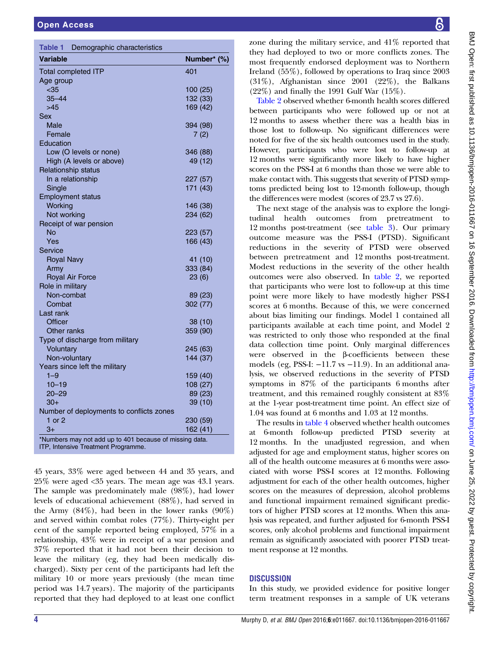<span id="page-3-0"></span>

| <b>Variable</b>                                         | Number* (%) |
|---------------------------------------------------------|-------------|
| <b>Total completed ITP</b>                              | 401         |
| Age group                                               |             |
| $35$                                                    | 100 (25)    |
| $35 - 44$                                               | 132 (33)    |
| >45                                                     | 169 (42)    |
| Sex                                                     |             |
| Male                                                    | 394 (98)    |
| Female                                                  | 7(2)        |
| Education                                               |             |
| Low (O levels or none)                                  | 346 (88)    |
| High (A levels or above)                                | 49 (12)     |
| Relationship status                                     |             |
| In a relationship                                       | 227 (57)    |
| Single                                                  | 171 (43)    |
| <b>Employment status</b>                                |             |
| Working                                                 | 146 (38)    |
| Not working                                             | 234 (62)    |
| Receipt of war pension                                  |             |
| No                                                      | 223 (57)    |
| Yes                                                     | 166 (43)    |
| Service                                                 |             |
| <b>Royal Navy</b>                                       | 41 (10)     |
| Army                                                    | 333 (84)    |
| Royal Air Force                                         | 23(6)       |
| Role in military                                        |             |
| Non-combat                                              | 89 (23)     |
| Combat                                                  | 302 (77)    |
| Last rank                                               |             |
| Officer                                                 | 38 (10)     |
| Other ranks                                             | 359 (90)    |
| Type of discharge from military                         |             |
| Voluntary                                               | 245 (63)    |
| Non-voluntary                                           | 144 (37)    |
| Years since left the military                           |             |
| $1 - 9$                                                 | 159 (40)    |
| $10 - 19$                                               | 108 (27)    |
| $20 - 29$                                               | 89 (23)     |
| $30+$                                                   | 39 (10)     |
| Number of deployments to conflicts zones                |             |
| 1 or $2$                                                | 230 (59)    |
| 3+                                                      | 162 (41)    |
| *Numbers may not add up to 401 because of missing data. |             |

ITP, Intensive Treatment Programme.

45 years, 33% were aged between 44 and 35 years, and 25% were aged <35 years. The mean age was 43.1 years. The sample was predominately male (98%), had lower levels of educational achievement (88%), had served in the Army  $(84\%)$ , had been in the lower ranks  $(90\%)$ and served within combat roles (77%). Thirty-eight per cent of the sample reported being employed, 57% in a relationship, 43% were in receipt of a war pension and 37% reported that it had not been their decision to leave the military (eg, they had been medically discharged). Sixty per cent of the participants had left the military 10 or more years previously (the mean time period was 14.7 years). The majority of the participants reported that they had deployed to at least one conflict

BMJ Open: first published as 10.11136/bmijopen-2016-011667 on 16 September 2016. Downloaded from http://bmjopen.bmj.com/ on June 25, 2022 by guest. Protected by copyright BMJ Open: first published as 10.1136/bmjopen-2016-011657 on 16 September 2016. Downloaded from Dumado from pune 25, 2022 by guest. Protected by copyright.

zone during the military service, and 41% reported that they had deployed to two or more conflicts zones. The most frequently endorsed deployment was to Northern Ireland (55%), followed by operations to Iraq since 2003 (31%), Afghanistan since 2001 (22%), the Balkans (22%) and finally the 1991 Gulf War (15%).

[Table 2](#page-4-0) observed whether 6-month health scores differed between participants who were followed up or not at 12 months to assess whether there was a health bias in those lost to follow-up. No significant differences were noted for five of the six health outcomes used in the study. However, participants who were lost to follow-up at 12 months were significantly more likely to have higher scores on the PSS-I at 6 months than those we were able to make contact with. This suggests that severity of PTSD symptoms predicted being lost to 12-month follow-up, though the differences were modest (scores of 23.7 vs 27.6).

The next stage of the analysis was to explore the longitudinal health outcomes from pretreatment to 12 months post-treatment (see [table 3\)](#page-4-0). Our primary outcome measure was the PSS-I (PTSD). Significant reductions in the severity of PTSD were observed between pretreatment and 12 months post-treatment. Modest reductions in the severity of the other health outcomes were also observed. In [table 2,](#page-4-0) we reported that participants who were lost to follow-up at this time point were more likely to have modestly higher PSS-I scores at 6 months. Because of this, we were concerned about bias limiting our findings. Model 1 contained all participants available at each time point, and Model 2 was restricted to only those who responded at the final data collection time point. Only marginal differences were observed in the β-coefficients between these models (eg, PSS-I: −11.7 vs −11.9). In an additional analysis, we observed reductions in the severity of PTSD symptoms in 87% of the participants 6 months after treatment, and this remained roughly consistent at 83% at the 1-year post-treatment time point. An effect size of 1.04 was found at 6 months and 1.03 at 12 months.

The results in [table 4](#page-5-0) observed whether health outcomes at 6-month follow-up predicted PTSD severity at 12 months. In the unadjusted regression, and when adjusted for age and employment status, higher scores on all of the health outcome measures at 6 months were associated with worse PSS-I scores at 12 months. Following adjustment for each of the other health outcomes, higher scores on the measures of depression, alcohol problems and functional impairment remained significant predictors of higher PTSD scores at 12 months. When this analysis was repeated, and further adjusted for 6-month PSS-I scores, only alcohol problems and functional impairment remain as significantly associated with poorer PTSD treatment response at 12 months.

# **DISCUSSION**

In this study, we provided evidence for positive longer term treatment responses in a sample of UK veterans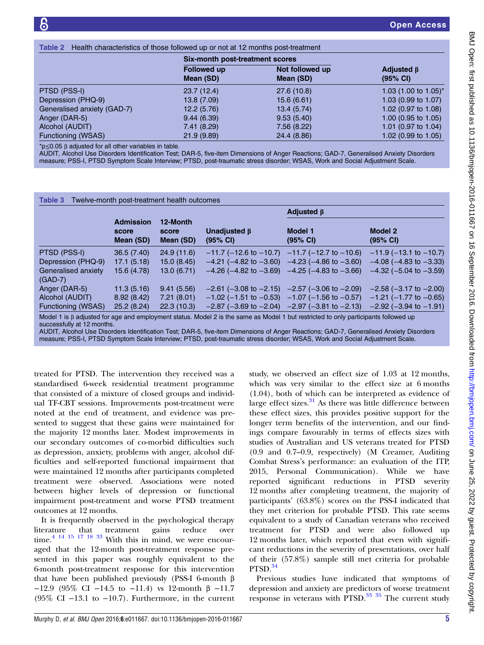<span id="page-4-0"></span>

| Table 2 Health characteristics of those followed up or not at 12 months post-treatment |                                 |                              |                                        |  |
|----------------------------------------------------------------------------------------|---------------------------------|------------------------------|----------------------------------------|--|
|                                                                                        | Six-month post-treatment scores |                              |                                        |  |
|                                                                                        | <b>Followed up</b><br>Mean (SD) | Not followed up<br>Mean (SD) | Adjusted $\beta$<br>$(95% \text{ Cl})$ |  |
| PTSD (PSS-I)                                                                           | 23.7(12.4)                      | 27.6 (10.8)                  | 1.03 $(1.00 \text{ to } 1.05)^{*}$     |  |
| Depression (PHQ-9)                                                                     | 13.8 (7.09)                     | 15.6(6.61)                   | 1.03 $(0.99 \text{ to } 1.07)$         |  |
| Generalised anxiety (GAD-7)                                                            | 12.2(5.76)                      | 13.4(5.74)                   | 1.02 $(0.97 \text{ to } 1.08)$         |  |
| Anger (DAR-5)                                                                          | 9.44(6.39)                      | 9.53(5.40)                   | 1.00 $(0.95 \text{ to } 1.05)$         |  |
| Alcohol (AUDIT)                                                                        | 7.41 (8.29)                     | 7.56(8.22)                   | 1.01 $(0.97 \text{ to } 1.04)$         |  |

\*p≤0.05 β adjusted for all other variables in table.

AUDIT, Alcohol Use Disorders Identification Test; DAR-5, five-item Dimensions of Anger Reactions; GAD-7, Generalised Anxiety Disorders measure; PSS-I, PTSD Symptom Scale Interview; PTSD, post-traumatic stress disorder; WSAS, Work and Social Adjustment Scale.

Functioning (WSAS) 21.9 (9.89) 24.4 (8.86) 24.4 (8.86) 1.02 (0.99 to 1.05)

|                                  |                                        |                                |                                                                                                                                                                                                                                | Adjusted $\beta$                                              |                                |
|----------------------------------|----------------------------------------|--------------------------------|--------------------------------------------------------------------------------------------------------------------------------------------------------------------------------------------------------------------------------|---------------------------------------------------------------|--------------------------------|
|                                  | <b>Admission</b><br>score<br>Mean (SD) | 12-Month<br>score<br>Mean (SD) | Unadjusted $\beta$<br>$(95\% \text{ Cl})$                                                                                                                                                                                      | <b>Model 1</b><br>$(95% \text{ Cl})$                          | Model 2<br>$(95% \text{ Cl})$  |
| PTSD (PSS-I)                     | 36.5(7.40)                             | 24.9(11.6)                     | $-11.7$ ( $-12.6$ to $-10.7$ )                                                                                                                                                                                                 | $-11.7$ ( $-12.7$ to $-10.6$ )                                | $-11.9$ (-13.1 to -10.7)       |
| Depression (PHQ-9)               | 17.1(5.18)                             | 15.0(8.45)                     |                                                                                                                                                                                                                                | $-4.21$ (-4.82 to $-3.60$ ) $-4.23$ (-4.86 to $-3.60$ )       | $-4.08$ ( $-4.83$ to $-3.33$ ) |
| Generalised anxiety<br>$(GAD-7)$ | 15.6 (4.78)                            | 13.0 (6.71)                    |                                                                                                                                                                                                                                | $-4.26$ ( $-4.82$ to $-3.69$ ) $-4.25$ ( $-4.83$ to $-3.66$ ) | $-4.32$ (-5.04 to $-3.59$ )    |
| Anger (DAR-5)                    | 11.3(5.16)                             | 9.41(5.56)                     |                                                                                                                                                                                                                                | $-2.61$ (-3.08 to $-2.15$ ) $-2.57$ (-3.06 to $-2.09$ )       | $-2.58$ ( $-3.17$ to $-2.00$ ) |
| Alcohol (AUDIT)                  | 8.92(8.42)                             | 7.21(8.01)                     |                                                                                                                                                                                                                                | $-1.02$ (-1.51 to $-0.53$ ) $-1.07$ (-1.56 to $-0.57$ )       | $-1.21$ ( $-1.77$ to $-0.65$ ) |
| Functioning (WSAS)               | 25.2(8.24)                             | 22.3(10.3)                     |                                                                                                                                                                                                                                | $-2.87$ ( $-3.69$ to $-2.04$ ) $-2.97$ ( $-3.81$ to $-2.13$ ) | $-2.92$ ( $-3.94$ to $-1.91$ ) |
|                                  |                                        |                                | March 1 to 6 billions of the contract contract of the state of the later of the state of the contract of the contract of the contract of the contract of the contract of the contract of the contract of the contract of the c |                                                               |                                |

Model 1 is β adjusted for age and employment status. Model 2 is the same as Model 1 but restricted to only participants followed up successfully at 12 months.

AUDIT, Alcohol Use Disorders Identification Test; DAR-5, five-item Dimensions of Anger Reactions; GAD-7, Generalised Anxiety Disorders measure; PSS-I, PTSD Symptom Scale Interview; PTSD, post-traumatic stress disorder; WSAS, Work and Social Adjustment Scale.

treated for PTSD. The intervention they received was a standardised 6-week residential treatment programme that consisted of a mixture of closed groups and individual TF-CBT sessions. Improvements post-treatment were noted at the end of treatment, and evidence was presented to suggest that these gains were maintained for the majority 12 months later. Modest improvements in our secondary outcomes of co-morbid difficulties such as depression, anxiety, problems with anger, alcohol difficulties and self-reported functional impairment that were maintained 12 months after participants completed treatment were observed. Associations were noted between higher levels of depression or functional impairment post-treatment and worse PTSD treatment outcomes at 12 months.

It is frequently observed in the psychological therapy literature that treatment gains reduce over time. $4^{14}$  15 17 [18 33](#page-7-0) With this in mind, we were encouraged that the 12-month post-treatment response presented in this paper was roughly equivalent to the 6-month post-treatment response for this intervention that have been published previously (PSS-I 6-month β −12.9 (95% CI −14.5 to −11.4) vs 12-month β −11.7 (95% CI  $-13.1$  to  $-10.7$ ). Furthermore, in the current

study, we observed an effect size of 1.03 at 12 months, which was very similar to the effect size at 6 months (1.04), both of which can be interpreted as evidence of large effect sizes. $31$  As there was little difference between these effect sizes, this provides positive support for the longer term benefits of the intervention, and our findings compare favourably in terms of effects sizes with studies of Australian and US veterans treated for PTSD (0.9 and 0.7–0.9, respectively) (M Creamer, Auditing Combat Stress's performance: an evaluation of the ITP, 2015, Personal Communication). While we have reported significant reductions in PTSD severity 12 months after completing treatment, the majority of participants' (63.8%) scores on the PSS-I indicated that they met criterion for probable PTSD. This rate seems equivalent to a study of Canadian veterans who received treatment for PTSD and were also followed up 12 months later, which reported that even with significant reductions in the severity of presentations, over half of their (57.8%) sample still met criteria for probable  $PTSD.<sup>34</sup>$ 

Previous studies have indicated that symptoms of depression and anxiety are predictors of worse treatment response in veterans with PTSD.<sup>33</sup> <sup>35</sup> The current study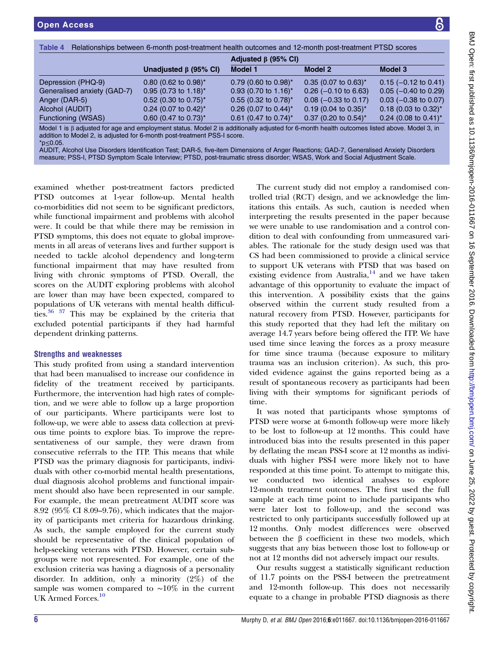<span id="page-5-0"></span>

|                                                                                                                                                                                                                                                                       |                                    | Adjusted $\beta$ (95% CI)          |                                                         |                                    |
|-----------------------------------------------------------------------------------------------------------------------------------------------------------------------------------------------------------------------------------------------------------------------|------------------------------------|------------------------------------|---------------------------------------------------------|------------------------------------|
|                                                                                                                                                                                                                                                                       | Unadjusted $\beta$ (95% CI)        | <b>Model 1</b>                     | Model 2                                                 | <b>Model 3</b>                     |
| Depression (PHQ-9)                                                                                                                                                                                                                                                    | 0.80 (0.62 to 0.98)*               | $0.79$ (0.60 to 0.98)*             | $0.35$ (0.07 to 0.63) <sup>*</sup>                      | $0.15$ (-0.12 to 0.41)             |
| Generalised anxiety (GAD-7)                                                                                                                                                                                                                                           | $0.95$ (0.73 to 1.18) <sup>*</sup> | $0.93$ (0.70 to 1.16) <sup>*</sup> | $0.26$ (-0.10 to 6.63)                                  | $0.05$ (-0.40 to 0.29)             |
| Anger (DAR-5)                                                                                                                                                                                                                                                         | $0.52$ (0.30 to 0.75) <sup>*</sup> | $0.55$ (0.32 to 0.78) <sup>*</sup> | $0.08$ (-0.33 to 0.17)                                  | $0.03$ (-0.38 to 0.07)             |
| Alcohol (AUDIT)                                                                                                                                                                                                                                                       | $0.24$ (0.07 to 0.42) <sup>*</sup> | 0.26 (0.07 to 0.44) <sup>*</sup>   | $0.19$ (0.04 to 0.35) <sup>*</sup>                      | $0.18$ (0.03 to 0.32) <sup>*</sup> |
| Functioning (WSAS)                                                                                                                                                                                                                                                    | 0.60 (0.47 to 0.73)*               | 0.61 (0.47 to 0.74)*               | 0.37 (0.20 to 0.54)*                                    | 0.24 (0.08 to 0.41)*               |
| AUDIT, Alcohol Use Disorders Identification Test; DAR-5, five-item Dimensions of Anger Reactions; GAD-7, Generalised Anxiety Disorders<br>measure; PSS-I, PTSD Symptom Scale Interview; PTSD, post-traumatic stress disorder; WSAS, Work and Social Adjustment Scale. |                                    |                                    |                                                         |                                    |
| xamined whether post-treatment factors predicted                                                                                                                                                                                                                      |                                    |                                    | The current study did not employ a randomised cor       |                                    |
| TSD outcomes at 1-year follow-up. Mental health                                                                                                                                                                                                                       |                                    |                                    | trolled trial (RCT) design, and we acknowledge the lin  |                                    |
| o-morbidities did not seem to be significant predictors,                                                                                                                                                                                                              |                                    |                                    | itations this entails. As such, caution is needed whe   |                                    |
| hile functional impairment and problems with alcohol                                                                                                                                                                                                                  |                                    |                                    | interpreting the results presented in the paper because |                                    |
| vere. It could be that while there may be remission in                                                                                                                                                                                                                |                                    |                                    | we were unable to use randomisation and a control cor   |                                    |
| TSD symptoms, this does not equate to global improve-                                                                                                                                                                                                                 |                                    |                                    | dition to deal with confounding from unmeasured var     |                                    |
| nents in all areas of veterans lives and further support is                                                                                                                                                                                                           |                                    |                                    | ables. The rationale for the study design used was that |                                    |
| eeded to tackle alcohol dependency and long-term                                                                                                                                                                                                                      |                                    |                                    | CS had been commissioned to provide a clinical service  |                                    |

examined wheth PTSD outcomes co-morbidities die while functional were. It could be PTSD symptoms, ments in all areas needed to tackle functional impairment that may have resulted from living with chronic symptoms of PTSD. Overall, the scores on the AUDIT exploring problems with alcohol are lower than may have been expected, compared to populations of UK veterans with mental health difficulties.[36 37](#page-7-0) This may be explained by the criteria that excluded potential participants if they had harmful dependent drinking patterns.

# Strengths and weaknesses

This study profited from using a standard intervention that had been manualised to increase our confidence in fidelity of the treatment received by participants. Furthermore, the intervention had high rates of completion, and we were able to follow up a large proportion of our participants. Where participants were lost to follow-up, we were able to assess data collection at previous time points to explore bias. To improve the representativeness of our sample, they were drawn from consecutive referrals to the ITP. This means that while PTSD was the primary diagnosis for participants, individuals with other co-morbid mental health presentations, dual diagnosis alcohol problems and functional impairment should also have been represented in our sample. For example, the mean pretreatment AUDIT score was 8.92 (95% CI 8.09–9.76), which indicates that the majority of participants met criteria for hazardous drinking. As such, the sample employed for the current study should be representative of the clinical population of help-seeking veterans with PTSD. However, certain subgroups were not represented. For example, one of the exclusion criteria was having a diagnosis of a personality disorder. In addition, only a minority (2%) of the sample was women compared to ∼10% in the current UK Armed Forces.<sup>[10](#page-6-0)</sup>

domised conledge the limneeded when paper because a control conneasured variused was that linical service to support UK veterans with PTSD that was based on existing evidence from Australia, $14$  and we have taken advantage of this opportunity to evaluate the impact of this intervention. A possibility exists that the gains observed within the current study resulted from a natural recovery from PTSD. However, participants for this study reported that they had left the military on average 14.7 years before being offered the ITP. We have used time since leaving the forces as a proxy measure for time since trauma (because exposure to military trauma was an inclusion criterion). As such, this provided evidence against the gains reported being as a result of spontaneous recovery as participants had been living with their symptoms for significant periods of time.

It was noted that participants whose symptoms of PTSD were worse at 6-month follow-up were more likely to be lost to follow-up at 12 months. This could have introduced bias into the results presented in this paper by deflating the mean PSS-I score at 12 months as individuals with higher PSS-I were more likely not to have responded at this time point. To attempt to mitigate this, we conducted two identical analyses to explore 12-month treatment outcomes. The first used the full sample at each time point to include participants who were later lost to follow-up, and the second was restricted to only participants successfully followed up at 12 months. Only modest differences were observed between the β coefficient in these two models, which suggests that any bias between those lost to follow-up or not at 12 months did not adversely impact our results.

Our results suggest a statistically significant reduction of 11.7 points on the PSS-I between the pretreatment and 12-month follow-up. This does not necessarily equate to a change in probable PTSD diagnosis as there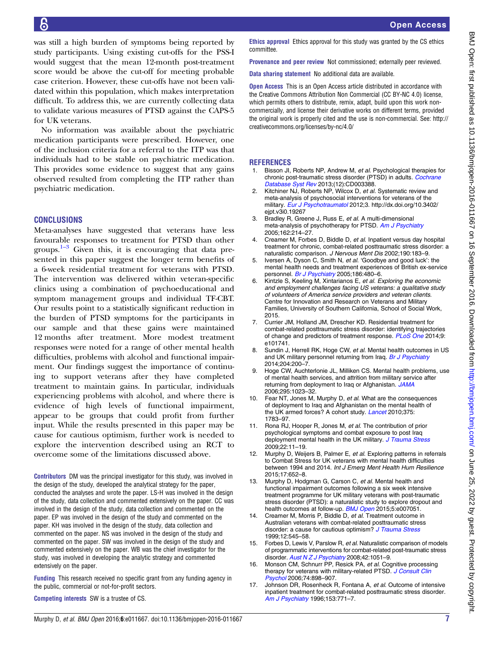Open Access

BMJ Open: first published as 10.1136/bmjopen-2016-011657 on 16 September 2016. Downloaded from Dumado from pune 25, 2022 by guest. Protected by copyright.

BMJ Open: first published as 10.1136/bmjopen-2016-011667 on 16 September 2016. Downloaded from http://bmjopen.bmj.com/ on June 25, 2022 by guest. Protected by copyright

2009;22:11–19. 12. Murphy D, Weijers B, Palmer E, et al. Exploring patterns in referrals to Combat Stress for UK veterans with mental health difficulties

13. Murphy D, Hodgman G, Carson C, et al. Mental health and functional impairment outcomes following a six week intensive treatment programme for UK military veterans with post-traumatic stress disorder (PTSD): a naturalistic study to explore dropout and health outcomes at follow-up. **[BMJ Open](http://dx.doi.org/10.1136/bmjopen-2014-007051) 2015**;5:e007051.

- 14. Creamer M, Morris P, Biddle D, et al. Treatment outcome in Australian veterans with combat-related posttraumatic stress disorder: a cause for cautious optimism? [J Trauma Stress](http://dx.doi.org/10.1023/A:1024702931164) 1999;12:545–58.
- 15. Forbes D, Lewis V, Parslow R, et al. Naturalistic comparison of models of programmatic interventions for combat-related post-traumatic stress disorder. [Aust N Z J Psychiatry](http://dx.doi.org/10.1080/00048670802512024) 2008;42:1051-9.
- 16. Monson CM, Schnurr PP, Resick PA, et al. Cognitive processing therapy for veterans with military-related PTSD. [J Consult Clin](http://dx.doi.org/10.1037/0022-006X.74.5.898) [Psychol](http://dx.doi.org/10.1037/0022-006X.74.5.898) 2006;74:898–907.
- 17. Johnson DR, Rosenheck R, Fontana A, et al. Outcome of intensive inpatient treatment for combat-related posttraumatic stress disorder. [Am J Psychiatry](http://dx.doi.org/10.1176/ajp.153.6.771) 1996;153:771–7.

<span id="page-6-0"></span>was still a high burden of symptoms being reported by study participants. Using existing cut-offs for the PSS-I would suggest that the mean 12-month post-treatment score would be above the cut-off for meeting probable case criterion. However, these cut-offs have not been validated within this population, which makes interpretation difficult. To address this, we are currently collecting data to validate various measures of PTSD against the CAPS-5 for UK veterans.

No information was available about the psychiatric medication participants were prescribed. However, one of the inclusion criteria for a referral to the ITP was that individuals had to be stable on psychiatric medication. This provides some evidence to suggest that any gains observed resulted from completing the ITP rather than psychiatric medication.

#### **CONCLUSIONS**

Meta-analyses have suggested that veterans have less favourable responses to treatment for PTSD than other groups.<sup>1-3</sup> Given this, it is encouraging that data presented in this paper suggest the longer term benefits of a 6-week residential treatment for veterans with PTSD. The intervention was delivered within veteran-specific clinics using a combination of psychoeducational and symptom management groups and individual TF-CBT. Our results point to a statistically significant reduction in the burden of PTSD symptoms for the participants in our sample and that these gains were maintained 12 months after treatment. More modest treatment responses were noted for a range of other mental health difficulties, problems with alcohol and functional impairment. Our findings suggest the importance of continuing to support veterans after they have completed treatment to maintain gains. In particular, individuals experiencing problems with alcohol, and where there is evidence of high levels of functional impairment, appear to be groups that could profit from further input. While the results presented in this paper may be cause for cautious optimism, further work is needed to explore the intervention described using an RCT to overcome some of the limitations discussed above.

Contributors DM was the principal investigator for this study, was involved in the design of the study, developed the analytical strategy for the paper, conducted the analyses and wrote the paper. LS-H was involved in the design of the study, data collection and commented extensively on the paper. CC was involved in the design of the study, data collection and commented on the paper. EP was involved in the design of the study and commented on the paper. KH was involved in the design of the study, data collection and commented on the paper. NS was involved in the design of the study and commented on the paper. SW was involved in the design of the study and commented extensively on the paper. WB was the chief investigator for the study, was involved in developing the analytic strategy and commented extensively on the paper.

Funding This research received no specific grant from any funding agency in the public, commercial or not-for-profit sectors.

Competing interests SW is a trustee of CS.

Ethics approval Ethics approval for this study was granted by the CS ethics committee.

Provenance and peer review Not commissioned; externally peer reviewed.

Data sharing statement No additional data are available.

Open Access This is an Open Access article distributed in accordance with the Creative Commons Attribution Non Commercial (CC BY-NC 4.0) license, which permits others to distribute, remix, adapt, build upon this work noncommercially, and license their derivative works on different terms, provided the original work is properly cited and the use is non-commercial. See: [http://](http://creativecommons.org/licenses/by-nc/4.0/) [creativecommons.org/licenses/by-nc/4.0/](http://creativecommons.org/licenses/by-nc/4.0/)

#### **REFERENCES**

- 1. Bisson Jl. Roberts NP. Andrew M. et al. Psychological therapies for chronic post-traumatic stress disorder (PTSD) in adults. [Cochrane](http://dx.doi.org/10.1002/14651858.CD003388.pub4) [Database Syst Rev](http://dx.doi.org/10.1002/14651858.CD003388.pub4) 2013;(12):CD003388.
- 2. Kitchiner NJ, Roberts NP, Wilcox D, et al. Systematic review and meta-analysis of psychosocial interventions for veterans of the military. [Eur J Psychotraumatol](http://dx.doi.org/10.3402/ejpt.v3i0.19267) 2012;3. http://dx.doi.org/10.3402/ ejpt.v3i0.19267
- 3. Bradley R, Greene J, Russ E, et al. A multi-dimensional meta-analysis of psychotherapy for PTSD. [Am J Psychiatry](http://dx.doi.org/10.1176/appi.ajp.162.2.214) 2005;162:214–27.
- 4. Creamer M, Forbes D, Biddle D, et al. Inpatient versus day hospital treatment for chronic, combat-related posttraumatic stress disorder: a naturalistic comparison. J Nervous Ment Dis 2002;190:183–9.
- 5. Iversen A, Dyson C, Smith N, et al. 'Goodbye and good luck': the mental health needs and treatment experiences of British ex-service personnel. [Br J Psychiatry](http://dx.doi.org/10.1192/bjp.186.6.480) 2005;186:480-6.
- 6. Kintzle S, Keeling M, Xintarianos E, et al. Exploring the economic and employment challenges facing US veterans: a qualitative study of volunteers of America service providers and veteran clients. Centre for Innovation and Research on Veterans and Military Families, University of Southern California, School of Social Work, 2015.
- 7. Currier JM, Holland JM, Drescher KD. Residential treatment for combat-related posttraumatic stress disorder: identifying trajectories of change and predictors of treatment response. [PLoS One](http://dx.doi.org/10.1371/journal.pone.0101741) 2014;9: e101741.
- 8. Sundin J, Herrell RK, Hoge CW, et al. Mental health outcomes in US and UK military personnel returning from Iraq. [Br J Psychiatry](http://dx.doi.org/10.1192/bjp.bp.113.129569) 2014;204:200–7.
- 9. Hoge CW, Auchterlonie JL, Milliken CS. Mental health problems, use of mental health services, and attrition from military service after returning from deployment to Iraq or Afghanistan. [JAMA](http://dx.doi.org/10.1001/jama.295.9.1023) 2006;295:1023–32.
- 10. Fear NT, Jones M, Murphy D, et al. What are the consequences of deployment to Iraq and Afghanistan on the mental health of the UK armed forces? A cohort study. [Lancet](http://dx.doi.org/10.1016/S0140-6736(10)60672-1) 2010;375: 1783–97.
- 11. Rona RJ, Hooper R, Jones M, et al. The contribution of prior psychological symptoms and combat exposure to post Iraq deployment mental health in the UK military. [J Trauma Stress](http://dx.doi.org/10.1002/jts.20383)
- between 1994 and 2014. Int J Emerg Ment Health Hum Resilience 2015;17:652–8.
-